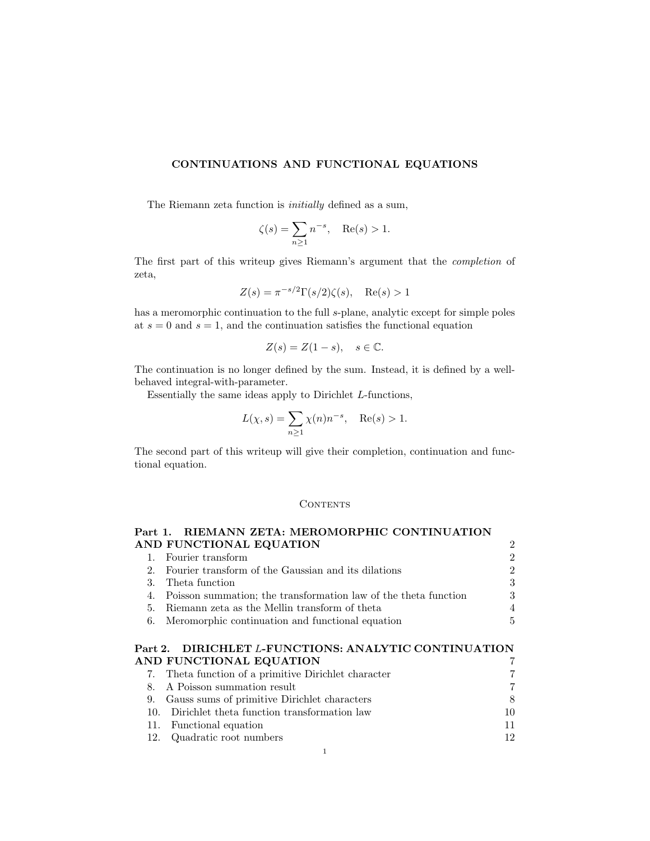# CONTINUATIONS AND FUNCTIONAL EQUATIONS

The Riemann zeta function is initially defined as a sum,

$$
\zeta(s) = \sum_{n \ge 1} n^{-s}, \quad \text{Re}(s) > 1.
$$

The first part of this writeup gives Riemann's argument that the completion of zeta,

$$
Z(s) = \pi^{-s/2} \Gamma(s/2) \zeta(s), \quad \text{Re}(s) > 1
$$

has a meromorphic continuation to the full s-plane, analytic except for simple poles at  $s = 0$  and  $s = 1$ , and the continuation satisfies the functional equation

$$
Z(s) = Z(1 - s), \quad s \in \mathbb{C}.
$$

The continuation is no longer defined by the sum. Instead, it is defined by a wellbehaved integral-with-parameter.

Essentially the same ideas apply to Dirichlet L-functions,

$$
L(\chi, s) = \sum_{n \ge 1} \chi(n) n^{-s}, \quad \text{Re}(s) > 1.
$$

The second part of this writeup will give their completion, continuation and functional equation.

### **CONTENTS**

| Part 1. RIEMANN ZETA: MEROMORPHIC CONTINUATION                     |                             |
|--------------------------------------------------------------------|-----------------------------|
| AND FUNCTIONAL EQUATION                                            | $\mathcal{D}_{\mathcal{L}}$ |
| 1. Fourier transform                                               | $\mathfrak{D}$              |
| 2. Fourier transform of the Gaussian and its dilations             | $\mathfrak{D}$              |
| 3. Theta function                                                  | 3                           |
| 4. Poisson summation; the transformation law of the theta function | 3                           |
| 5. Riemann zeta as the Mellin transform of theta                   | $\overline{4}$              |
| 6. Meromorphic continuation and functional equation                | 5                           |
|                                                                    |                             |

# Part 2. DIRICHLET L-FUNCTIONS: ANALYTIC CONTINUATION AND FUNCTIONAL EQUATION 7

|     | 7. Theta function of a primitive Dirichlet character |    |
|-----|------------------------------------------------------|----|
|     | 8. A Poisson summation result                        | 7  |
|     | 9. Gauss sums of primitive Dirichlet characters      | 8  |
| 10. | Dirichlet theta function transformation law          | 10 |
|     | 11. Functional equation                              | 11 |
|     | 12. Quadratic root numbers                           | 12 |
|     |                                                      |    |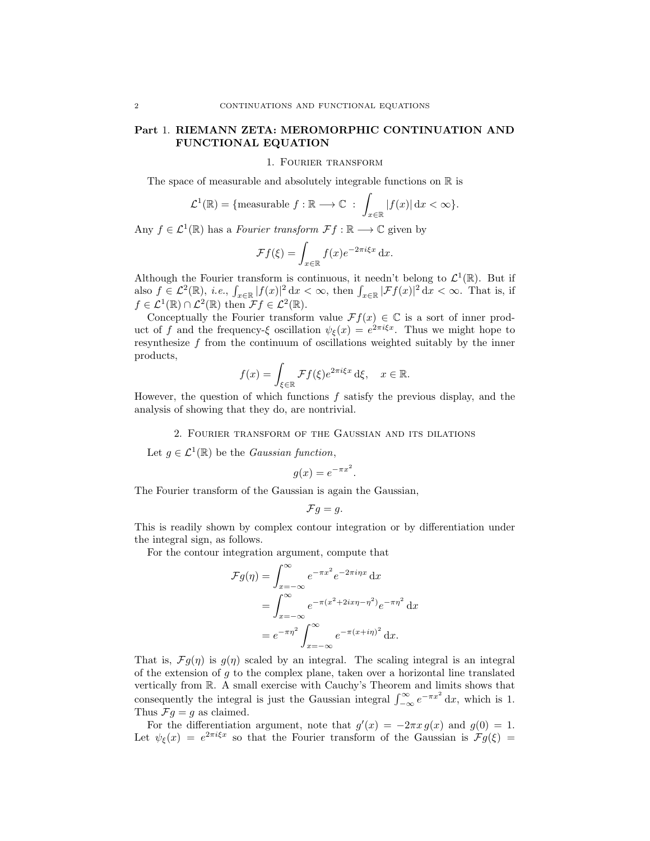## Part 1. RIEMANN ZETA: MEROMORPHIC CONTINUATION AND FUNCTIONAL EQUATION

1. Fourier transform

The space of measurable and absolutely integrable functions on  $\mathbb R$  is

$$
\mathcal{L}^1(\mathbb{R}) = \{ \text{measurable } f : \mathbb{R} \longrightarrow \mathbb{C} : \int_{x \in \mathbb{R}} |f(x)| dx < \infty \}.
$$

Any  $f \in \mathcal{L}^1(\mathbb{R})$  has a *Fourier transform*  $\mathcal{F}f : \mathbb{R} \longrightarrow \mathbb{C}$  given by

$$
\mathcal{F}f(\xi) = \int_{x \in \mathbb{R}} f(x)e^{-2\pi i \xi x} dx.
$$

Although the Fourier transform is continuous, it needn't belong to  $\mathcal{L}^1(\mathbb{R})$ . But if also  $f \in \mathcal{L}^2(\mathbb{R})$ , *i.e.*,  $\int_{x \in \mathbb{R}} |f(x)|^2 dx < \infty$ , then  $\int_{x \in \mathbb{R}} |\mathcal{F}f(x)|^2 dx < \infty$ . That is, if  $f \in \mathcal{L}^1(\mathbb{R}) \cap \mathcal{L}^2(\mathbb{R})$  then  $\mathcal{F} f \in \mathcal{L}^2(\mathbb{R})$ .

Conceptually the Fourier transform value  $\mathcal{F}f(x) \in \mathbb{C}$  is a sort of inner product of f and the frequency-ξ oscillation  $\psi_{\xi}(x) = e^{2\pi i \xi x}$ . Thus we might hope to resynthesize  $f$  from the continuum of oscillations weighted suitably by the inner products,

$$
f(x) = \int_{\xi \in \mathbb{R}} \mathcal{F}f(\xi) e^{2\pi i \xi x} d\xi, \quad x \in \mathbb{R}.
$$

However, the question of which functions  $f$  satisfy the previous display, and the analysis of showing that they do, are nontrivial.

#### 2. Fourier transform of the Gaussian and its dilations

Let  $g \in \mathcal{L}^1(\mathbb{R})$  be the *Gaussian function*,

$$
g(x) = e^{-\pi x^2}.
$$

The Fourier transform of the Gaussian is again the Gaussian,

$$
\mathcal{F}g=g.
$$

This is readily shown by complex contour integration or by differentiation under the integral sign, as follows.

For the contour integration argument, compute that

$$
\mathcal{F}g(\eta) = \int_{x=-\infty}^{\infty} e^{-\pi x^2} e^{-2\pi i \eta x} dx
$$

$$
= \int_{x=-\infty}^{\infty} e^{-\pi (x^2 + 2ix\eta - \eta^2)} e^{-\pi \eta^2} dx
$$

$$
= e^{-\pi \eta^2} \int_{x=-\infty}^{\infty} e^{-\pi (x + i\eta)^2} dx.
$$

That is,  $\mathcal{F}g(\eta)$  is  $g(\eta)$  scaled by an integral. The scaling integral is an integral of the extension of  $g$  to the complex plane, taken over a horizontal line translated vertically from R. A small exercise with Cauchy's Theorem and limits shows that consequently the integral is just the Gaussian integral  $\int_{-\infty}^{\infty} e^{-\pi x^2} dx$ , which is 1. Thus  $\mathcal{F}g = g$  as claimed.

For the differentiation argument, note that  $g'(x) = -2\pi x g(x)$  and  $g(0) = 1$ . Let  $\psi_{\xi}(x) = e^{2\pi i \xi x}$  so that the Fourier transform of the Gaussian is  $\mathcal{F}g(\xi) =$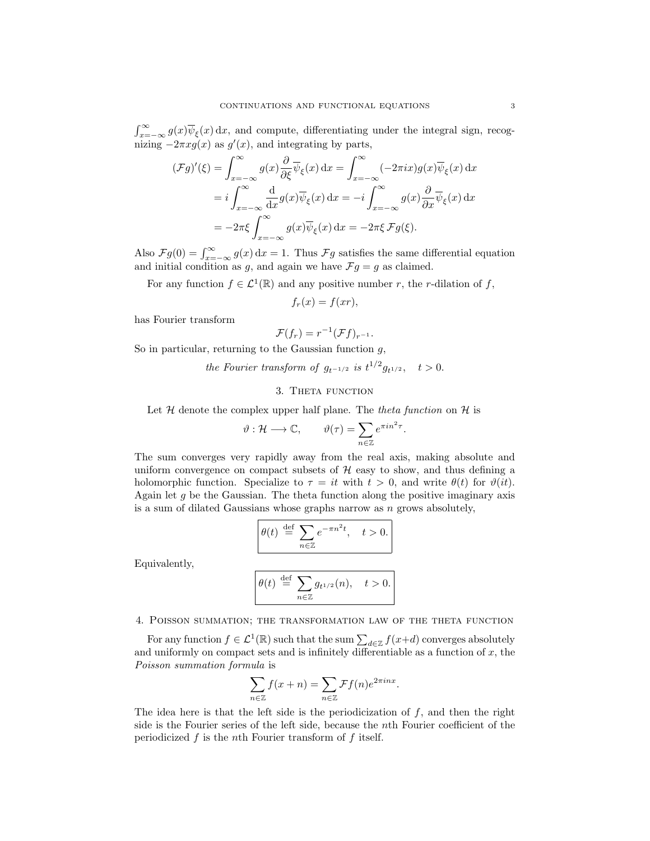$\int_{x=-\infty}^{\infty} g(x)\overline{\psi}_{\xi}(x) dx$ , and compute, differentiating under the integral sign, recognizing  $-2\pi x g(x)$  as  $g'(x)$ , and integrating by parts,

$$
(\mathcal{F}g)'(\xi) = \int_{x=-\infty}^{\infty} g(x) \frac{\partial}{\partial \xi} \overline{\psi}_{\xi}(x) dx = \int_{x=-\infty}^{\infty} (-2\pi i x) g(x) \overline{\psi}_{\xi}(x) dx
$$
  
=  $i \int_{x=-\infty}^{\infty} \frac{d}{dx} g(x) \overline{\psi}_{\xi}(x) dx = -i \int_{x=-\infty}^{\infty} g(x) \frac{\partial}{\partial x} \overline{\psi}_{\xi}(x) dx$   
=  $-2\pi \xi \int_{x=-\infty}^{\infty} g(x) \overline{\psi}_{\xi}(x) dx = -2\pi \xi \mathcal{F}g(\xi).$ 

Also  $\mathcal{F}g(0) = \int_{x=-\infty}^{\infty} g(x) dx = 1$ . Thus  $\mathcal{F}g$  satisfies the same differential equation and initial condition as g, and again we have  $\mathcal{F}g = g$  as claimed.

For any function  $f \in \mathcal{L}^1(\mathbb{R})$  and any positive number r, the r-dilation of f,

$$
f_r(x) = f(xr),
$$

has Fourier transform

$$
\mathcal{F}(f_r)=r^{-1}(\mathcal{F}f)_{r^{-1}}.
$$

So in particular, returning to the Gaussian function  $g$ ,

the Fourier transform of  $g_{t^{-1/2}}$  is  $t^{1/2}g_{t^{1/2}}, \quad t > 0.$ 

## 3. THETA FUNCTION

Let  $H$  denote the complex upper half plane. The theta function on  $H$  is

$$
\vartheta: \mathcal{H} \longrightarrow \mathbb{C}, \qquad \vartheta(\tau) = \sum_{n \in \mathbb{Z}} e^{\pi i n^2 \tau}.
$$

The sum converges very rapidly away from the real axis, making absolute and uniform convergence on compact subsets of  $H$  easy to show, and thus defining a holomorphic function. Specialize to  $\tau = it$  with  $t > 0$ , and write  $\theta(t)$  for  $\vartheta(it)$ . Again let  $g$  be the Gaussian. The theta function along the positive imaginary axis is a sum of dilated Gaussians whose graphs narrow as  $n$  grows absolutely,

$$
\theta(t) \stackrel{\text{def}}{=} \sum_{n \in \mathbb{Z}} e^{-\pi n^2 t}, \quad t > 0.
$$

Equivalently,

$$
\theta(t) \stackrel{\text{def}}{=} \sum_{n \in \mathbb{Z}} g_{t^{1/2}}(n), \quad t > 0.
$$

4. Poisson summation; the transformation law of the theta function

For any function  $f \in \mathcal{L}^1(\mathbb{R})$  such that the sum  $\sum_{d \in \mathbb{Z}} f(x+d)$  converges absolutely and uniformly on compact sets and is infinitely differentiable as a function of  $x$ , the Poisson summation formula is

$$
\sum_{n \in \mathbb{Z}} f(x+n) = \sum_{n \in \mathbb{Z}} \mathcal{F}f(n)e^{2\pi inx}.
$$

The idea here is that the left side is the periodicization of  $f$ , and then the right side is the Fourier series of the left side, because the nth Fourier coefficient of the periodicized  $f$  is the nth Fourier transform of  $f$  itself.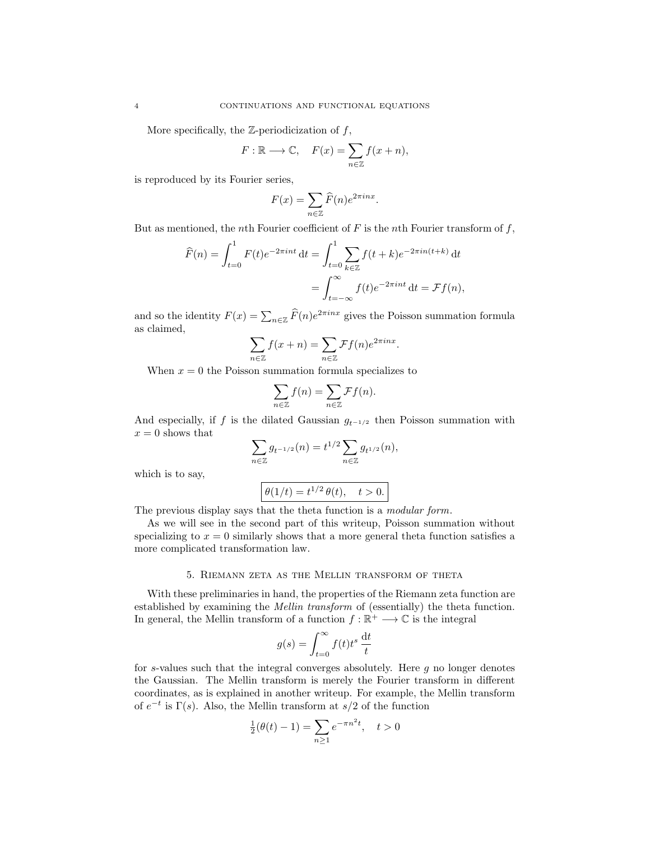More specifically, the  $\mathbb{Z}$ -periodicization of  $f$ ,

$$
F: \mathbb{R} \longrightarrow \mathbb{C}, \quad F(x) = \sum_{n \in \mathbb{Z}} f(x+n),
$$

is reproduced by its Fourier series,

$$
F(x) = \sum_{n \in \mathbb{Z}} \widehat{F}(n) e^{2\pi i n x}.
$$

But as mentioned, the nth Fourier coefficient of  $F$  is the nth Fourier transform of  $f$ ,

$$
\widehat{F}(n) = \int_{t=0}^{1} F(t)e^{-2\pi int} dt = \int_{t=0}^{1} \sum_{k \in \mathbb{Z}} f(t+k)e^{-2\pi in(t+k)} dt
$$

$$
= \int_{t=-\infty}^{\infty} f(t)e^{-2\pi int} dt = \mathcal{F}f(n),
$$

and so the identity  $F(x) = \sum_{n \in \mathbb{Z}} \widehat{F}(n) e^{2\pi i nx}$  gives the Poisson summation formula as claimed,

$$
\sum_{n \in \mathbb{Z}} f(x+n) = \sum_{n \in \mathbb{Z}} \mathcal{F}f(n)e^{2\pi inx}.
$$

When  $x = 0$  the Poisson summation formula specializes to

$$
\sum_{n\in\mathbb{Z}}f(n)=\sum_{n\in\mathbb{Z}}\mathcal{F}f(n).
$$

And especially, if f is the dilated Gaussian  $g_{t^{-1/2}}$  then Poisson summation with  $x = 0$  shows that

$$
\sum_{n\in\mathbb{Z}}g_{t^{-1/2}}(n)=t^{1/2}\sum_{n\in\mathbb{Z}}g_{t^{1/2}}(n),
$$

which is to say,

$$
\boxed{\theta(1/t) = t^{1/2} \theta(t), \quad t > 0.}
$$

The previous display says that the theta function is a *modular form*.

As we will see in the second part of this writeup, Poisson summation without specializing to  $x = 0$  similarly shows that a more general theta function satisfies a more complicated transformation law.

#### 5. Riemann zeta as the Mellin transform of theta

With these preliminaries in hand, the properties of the Riemann zeta function are established by examining the Mellin transform of (essentially) the theta function. In general, the Mellin transform of a function  $f : \mathbb{R}^+ \longrightarrow \mathbb{C}$  is the integral

$$
g(s) = \int_{t=0}^{\infty} f(t)t^s \, \frac{\mathrm{d}t}{t}
$$

for s-values such that the integral converges absolutely. Here  $g$  no longer denotes the Gaussian. The Mellin transform is merely the Fourier transform in different coordinates, as is explained in another writeup. For example, the Mellin transform of  $e^{-t}$  is  $\Gamma(s)$ . Also, the Mellin transform at  $s/2$  of the function

$$
\frac{1}{2}(\theta(t) - 1) = \sum_{n \ge 1} e^{-\pi n^2 t}, \quad t > 0
$$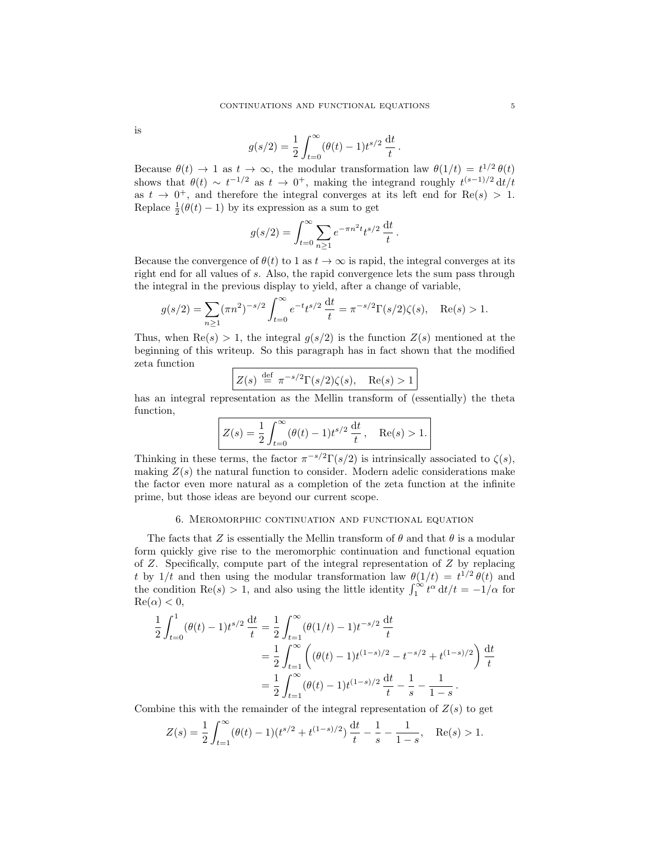is

$$
g(s/2) = \frac{1}{2} \int_{t=0}^{\infty} (\theta(t) - 1) t^{s/2} \frac{dt}{t}.
$$

Because  $\theta(t) \to 1$  as  $t \to \infty$ , the modular transformation law  $\theta(1/t) = t^{1/2} \theta(t)$ shows that  $\theta(t) \sim t^{-1/2}$  as  $t \to 0^+$ , making the integrand roughly  $t^{(s-1)/2} dt/t$ as  $t \to 0^+$ , and therefore the integral converges at its left end for  $\text{Re}(s) > 1$ . Replace  $\frac{1}{2}(\theta(t)-1)$  by its expression as a sum to get

$$
g(s/2) = \int_{t=0}^{\infty} \sum_{n \ge 1} e^{-\pi n^2 t} t^{s/2} \frac{dt}{t}.
$$

Because the convergence of  $\theta(t)$  to 1 as  $t \to \infty$  is rapid, the integral converges at its right end for all values of s. Also, the rapid convergence lets the sum pass through the integral in the previous display to yield, after a change of variable,

$$
g(s/2) = \sum_{n\geq 1} (\pi n^2)^{-s/2} \int_{t=0}^{\infty} e^{-t} t^{s/2} \frac{dt}{t} = \pi^{-s/2} \Gamma(s/2) \zeta(s), \quad \text{Re}(s) > 1.
$$

Thus, when  $\text{Re}(s) > 1$ , the integral  $g(s/2)$  is the function  $Z(s)$  mentioned at the beginning of this writeup. So this paragraph has in fact shown that the modified zeta function

$$
Z(s) \stackrel{\text{def}}{=} \pi^{-s/2} \Gamma(s/2) \zeta(s), \quad \text{Re}(s) > 1
$$

has an integral representation as the Mellin transform of (essentially) the theta function,

$$
Z(s) = \frac{1}{2} \int_{t=0}^{\infty} (\theta(t) - 1) t^{s/2} \frac{dt}{t}, \quad \text{Re}(s) > 1.
$$

Thinking in these terms, the factor  $\pi^{-s/2}\Gamma(s/2)$  is intrinsically associated to  $\zeta(s)$ , making  $Z(s)$  the natural function to consider. Modern adelic considerations make the factor even more natural as a completion of the zeta function at the infinite prime, but those ideas are beyond our current scope.

### 6. Meromorphic continuation and functional equation

The facts that Z is essentially the Mellin transform of  $\theta$  and that  $\theta$  is a modular form quickly give rise to the meromorphic continuation and functional equation of  $Z$ . Specifically, compute part of the integral representation of  $Z$  by replacing t by  $1/t$  and then using the modular transformation law  $\theta(1/t) = t^{1/2} \theta(t)$  and the condition Re(s) > 1, and also using the little identity  $\int_1^{\infty} t^{\alpha} dt/t = -1/\alpha$  for  $\text{Re}(\alpha) < 0$ ,

$$
\frac{1}{2} \int_{t=0}^{1} (\theta(t) - 1) t^{s/2} \frac{dt}{t} = \frac{1}{2} \int_{t=1}^{\infty} (\theta(1/t) - 1) t^{-s/2} \frac{dt}{t}
$$

$$
= \frac{1}{2} \int_{t=1}^{\infty} \left( (\theta(t) - 1) t^{(1-s)/2} - t^{-s/2} + t^{(1-s)/2} \right) \frac{dt}{t}
$$

$$
= \frac{1}{2} \int_{t=1}^{\infty} (\theta(t) - 1) t^{(1-s)/2} \frac{dt}{t} - \frac{1}{s} - \frac{1}{1-s}.
$$

Combine this with the remainder of the integral representation of  $Z(s)$  to get

$$
Z(s) = \frac{1}{2} \int_{t=1}^{\infty} (\theta(t) - 1)(t^{s/2} + t^{(1-s)/2}) \frac{dt}{t} - \frac{1}{s} - \frac{1}{1-s}, \quad \text{Re}(s) > 1.
$$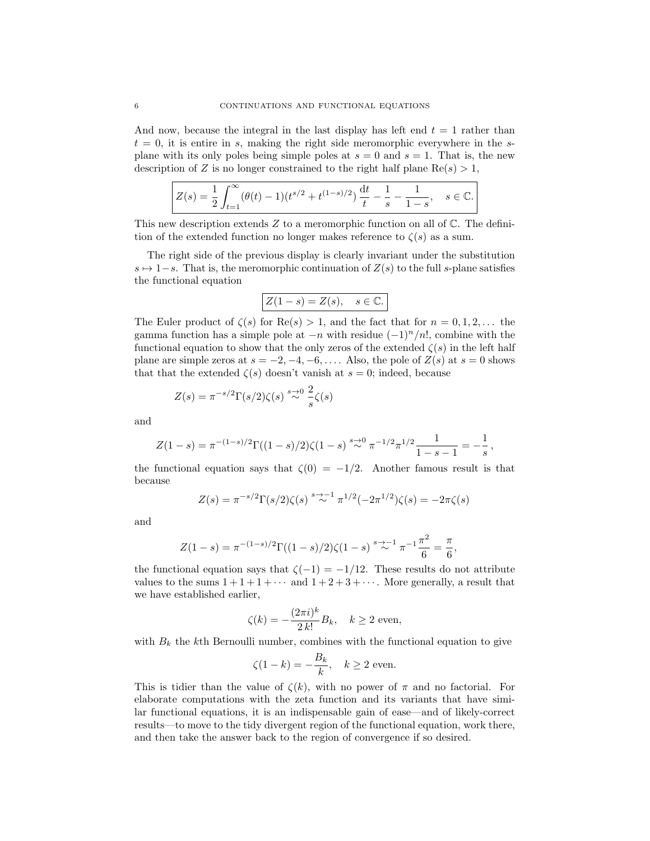And now, because the integral in the last display has left end  $t = 1$  rather than  $t = 0$ , it is entire in s, making the right side meromorphic everywhere in the splane with its only poles being simple poles at  $s = 0$  and  $s = 1$ . That is, the new description of Z is no longer constrained to the right half plane  $\text{Re}(s) > 1$ ,

$$
Z(s) = \frac{1}{2} \int_{t=1}^{\infty} (\theta(t) - 1)(t^{s/2} + t^{(1-s)/2}) \frac{dt}{t} - \frac{1}{s} - \frac{1}{1-s}, \quad s \in \mathbb{C}.
$$

This new description extends  $Z$  to a meromorphic function on all of  $\mathbb{C}$ . The definition of the extended function no longer makes reference to  $\zeta(s)$  as a sum.

The right side of the previous display is clearly invariant under the substitution  $s \mapsto 1-s$ . That is, the meromorphic continuation of  $Z(s)$  to the full s-plane satisfies the functional equation

$$
Z(1-s) = Z(s), \quad s \in \mathbb{C}.
$$

The Euler product of  $\zeta(s)$  for  $\text{Re}(s) > 1$ , and the fact that for  $n = 0, 1, 2, \ldots$  the gamma function has a simple pole at  $-n$  with residue  $(-1)^n/n!$ , combine with the functional equation to show that the only zeros of the extended  $\zeta(s)$  in the left half plane are simple zeros at  $s = -2, -4, -6, \ldots$ . Also, the pole of  $Z(s)$  at  $s = 0$  shows that that the extended  $\zeta(s)$  doesn't vanish at  $s = 0$ ; indeed, because

$$
Z(s) = \pi^{-s/2} \Gamma(s/2) \zeta(s) \stackrel{s \to 0}{\sim} \frac{2}{s} \zeta(s)
$$

and

$$
Z(1-s) = \pi^{-(1-s)/2} \Gamma((1-s)/2) \zeta(1-s) \stackrel{s \to 0}{\sim} \pi^{-1/2} \pi^{1/2} \frac{1}{1-s-1} = -\frac{1}{s},
$$

the functional equation says that  $\zeta(0) = -1/2$ . Another famous result is that because

$$
Z(s) = \pi^{-s/2} \Gamma(s/2) \zeta(s) \stackrel{s \to -1}{\sim} \pi^{1/2} (-2\pi^{1/2}) \zeta(s) = -2\pi \zeta(s)
$$

and

$$
Z(1-s) = \pi^{-(1-s)/2} \Gamma((1-s)/2) \zeta(1-s) \stackrel{s \to -1}{\sim} \pi^{-1} \frac{\pi^2}{6} = \frac{\pi}{6},
$$

the functional equation says that  $\zeta(-1) = -1/12$ . These results do not attribute values to the sums  $1+1+1+\cdots$  and  $1+2+3+\cdots$ . More generally, a result that we have established earlier,

$$
\zeta(k) = -\frac{(2\pi i)^k}{2 k!} B_k, \quad k \ge 2 \text{ even},
$$

with  $B_k$  the kth Bernoulli number, combines with the functional equation to give

$$
\zeta(1-k) = -\frac{B_k}{k}, \quad k \ge 2 \text{ even.}
$$

This is tidier than the value of  $\zeta(k)$ , with no power of  $\pi$  and no factorial. For elaborate computations with the zeta function and its variants that have similar functional equations, it is an indispensable gain of ease—and of likely-correct results—to move to the tidy divergent region of the functional equation, work there, and then take the answer back to the region of convergence if so desired.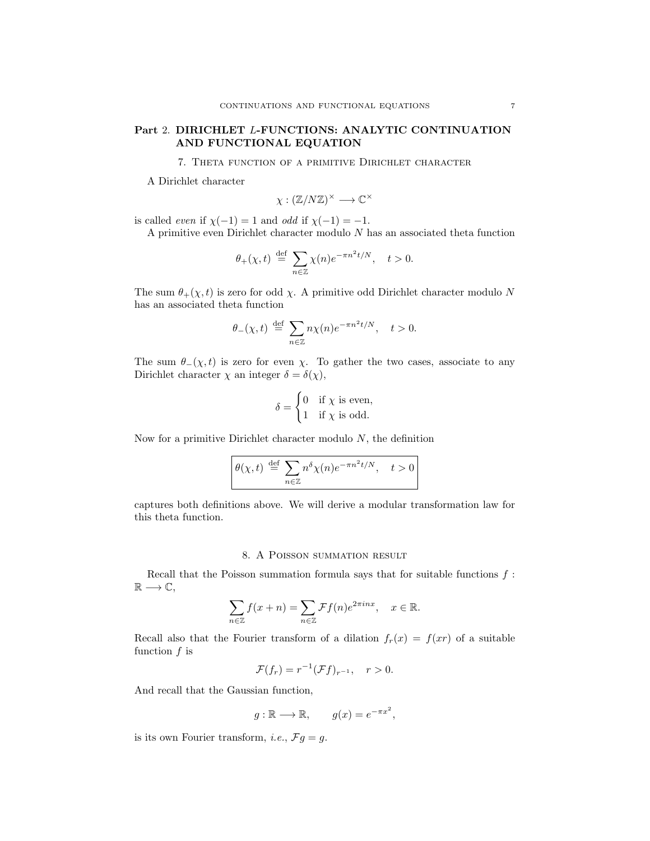## Part 2. DIRICHLET L-FUNCTIONS: ANALYTIC CONTINUATION AND FUNCTIONAL EQUATION

7. Theta function of a primitive Dirichlet character

A Dirichlet character

$$
\chi: (\mathbb{Z}/N\mathbb{Z})^\times \longrightarrow \mathbb{C}^\times
$$

is called *even* if  $\chi(-1) = 1$  and *odd* if  $\chi(-1) = -1$ .

A primitive even Dirichlet character modulo  $N$  has an associated theta function

$$
\theta_+(\chi,t) \stackrel{\text{def}}{=} \sum_{n \in \mathbb{Z}} \chi(n) e^{-\pi n^2 t/N}, \quad t > 0.
$$

The sum  $\theta_+(\chi, t)$  is zero for odd  $\chi$ . A primitive odd Dirichlet character modulo N has an associated theta function

$$
\theta_{-}(\chi,t) \stackrel{\text{def}}{=} \sum_{n \in \mathbb{Z}} n\chi(n) e^{-\pi n^2 t/N}, \quad t > 0.
$$

The sum  $\theta_-(\chi, t)$  is zero for even  $\chi$ . To gather the two cases, associate to any Dirichlet character  $\chi$  an integer  $\delta = \delta(\chi)$ ,

$$
\delta = \begin{cases} 0 & \text{if } \chi \text{ is even,} \\ 1 & \text{if } \chi \text{ is odd.} \end{cases}
$$

Now for a primitive Dirichlet character modulo  $N$ , the definition

$$
\theta(\chi, t) \stackrel{\text{def}}{=} \sum_{n \in \mathbb{Z}} n^{\delta} \chi(n) e^{-\pi n^2 t/N}, \quad t > 0
$$

captures both definitions above. We will derive a modular transformation law for this theta function.

## 8. A Poisson summation result

Recall that the Poisson summation formula says that for suitable functions  $f$ :  $\mathbb{R} \longrightarrow \mathbb{C},$ 

$$
\sum_{n\in\mathbb{Z}} f(x+n) = \sum_{n\in\mathbb{Z}} \mathcal{F}f(n)e^{2\pi inx}, \quad x \in \mathbb{R}.
$$

Recall also that the Fourier transform of a dilation  $f_r(x) = f(xr)$  of a suitable function  $f$  is

$$
\mathcal{F}(f_r) = r^{-1}(\mathcal{F}f)_{r^{-1}}, \quad r > 0.
$$

And recall that the Gaussian function,

$$
g : \mathbb{R} \longrightarrow \mathbb{R}, \qquad g(x) = e^{-\pi x^2},
$$

is its own Fourier transform, *i.e.*,  $\mathcal{F}g = g$ .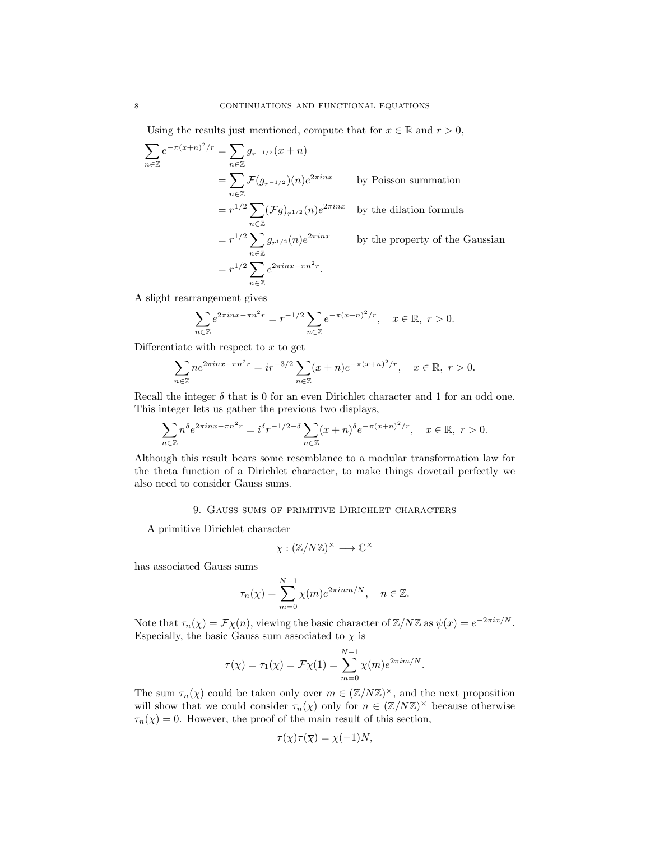Using the results just mentioned, compute that for  $x \in \mathbb{R}$  and  $r > 0$ ,

$$
\sum_{n\in\mathbb{Z}} e^{-\pi(x+n)^2/r} = \sum_{n\in\mathbb{Z}} g_{r^{-1/2}}(x+n)
$$
  
\n
$$
= \sum_{n\in\mathbb{Z}} \mathcal{F}(g_{r^{-1/2}})(n)e^{2\pi inx} \qquad \text{by Poisson summation}
$$
  
\n
$$
= r^{1/2} \sum_{n\in\mathbb{Z}} (\mathcal{F}g)_{r^{1/2}}(n)e^{2\pi inx} \qquad \text{by the dilation formula}
$$
  
\n
$$
= r^{1/2} \sum_{n\in\mathbb{Z}} g_{r^{1/2}}(n)e^{2\pi inx} \qquad \text{by the property of the Gaussian}
$$
  
\n
$$
= r^{1/2} \sum_{n\in\mathbb{Z}} e^{2\pi inx - \pi n^2 r}.
$$

A slight rearrangement gives

$$
\sum_{n\in\mathbb{Z}}e^{2\pi inx - \pi n^2r} = r^{-1/2}\sum_{n\in\mathbb{Z}}e^{-\pi (x+n)^2/r}, \quad x\in\mathbb{R}, r>0.
$$

Differentiate with respect to  $x$  to get

$$
\sum_{n\in\mathbb{Z}}ne^{2\pi inx-\pi n^2r} = ir^{-3/2}\sum_{n\in\mathbb{Z}}(x+n)e^{-\pi(x+n)^2/r}, \quad x\in\mathbb{R}, r>0.
$$

Recall the integer  $\delta$  that is 0 for an even Dirichlet character and 1 for an odd one. This integer lets us gather the previous two displays,

$$
\sum_{n\in\mathbb{Z}} n^{\delta} e^{2\pi i nx - \pi n^2 r} = i^{\delta} r^{-1/2 - \delta} \sum_{n\in\mathbb{Z}} (x+n)^{\delta} e^{-\pi (x+n)^2/r}, \quad x \in \mathbb{R}, r > 0.
$$

Although this result bears some resemblance to a modular transformation law for the theta function of a Dirichlet character, to make things dovetail perfectly we also need to consider Gauss sums.

### 9. Gauss sums of primitive Dirichlet characters

A primitive Dirichlet character

$$
\chi: (\mathbb{Z}/N\mathbb{Z})^{\times} \longrightarrow \mathbb{C}^{\times}
$$

has associated Gauss sums

$$
\tau_n(\chi) = \sum_{m=0}^{N-1} \chi(m) e^{2\pi i n m/N}, \quad n \in \mathbb{Z}.
$$

Note that  $\tau_n(\chi) = \mathcal{F}\chi(n)$ , viewing the basic character of  $\mathbb{Z}/N\mathbb{Z}$  as  $\psi(x) = e^{-2\pi i x/N}$ . Especially, the basic Gauss sum associated to  $\chi$  is

$$
\tau(\chi) = \tau_1(\chi) = \mathcal{F}\chi(1) = \sum_{m=0}^{N-1} \chi(m) e^{2\pi i m/N}.
$$

The sum  $\tau_n(\chi)$  could be taken only over  $m \in (\mathbb{Z}/N\mathbb{Z})^{\times}$ , and the next proposition will show that we could consider  $\tau_n(\chi)$  only for  $n \in (\mathbb{Z}/N\mathbb{Z})^{\times}$  because otherwise  $\tau_n(\chi) = 0$ . However, the proof of the main result of this section,

$$
\tau(\chi)\tau(\overline{\chi}) = \chi(-1)N,
$$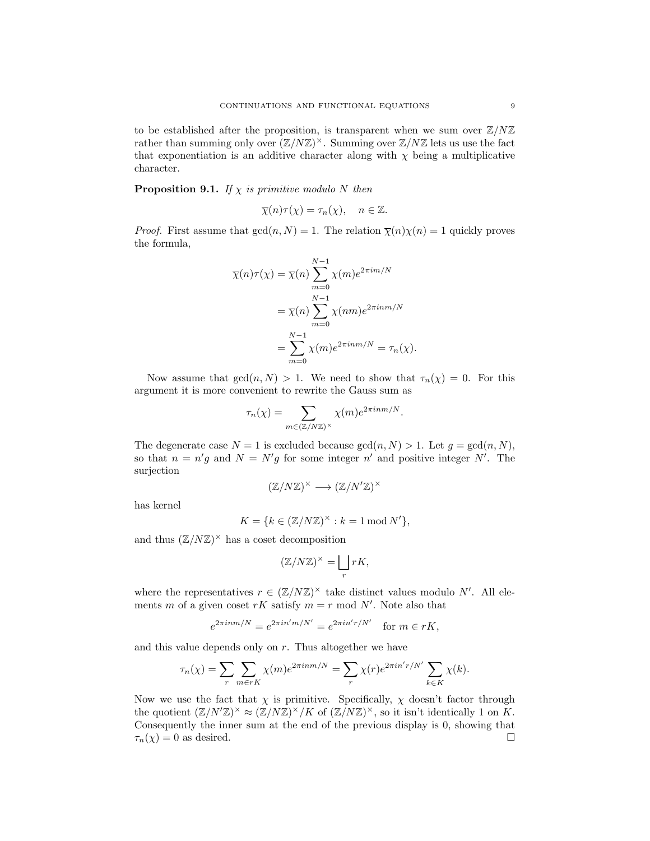to be established after the proposition, is transparent when we sum over  $\mathbb{Z}/N\mathbb{Z}$ rather than summing only over  $(\mathbb{Z}/N\mathbb{Z})^{\times}$ . Summing over  $\mathbb{Z}/N\mathbb{Z}$  lets us use the fact that exponentiation is an additive character along with  $\chi$  being a multiplicative character.

**Proposition 9.1.** If  $\chi$  is primitive modulo N then

$$
\overline{\chi}(n)\tau(\chi) = \tau_n(\chi), \quad n \in \mathbb{Z}.
$$

*Proof.* First assume that  $gcd(n, N) = 1$ . The relation  $\overline{\chi}(n)\chi(n) = 1$  quickly proves the formula,

$$
\overline{\chi}(n)\tau(\chi) = \overline{\chi}(n) \sum_{m=0}^{N-1} \chi(m) e^{2\pi i m/N}
$$

$$
= \overline{\chi}(n) \sum_{m=0}^{N-1} \chi(nm) e^{2\pi i n m/N}
$$

$$
= \sum_{m=0}^{N-1} \chi(m) e^{2\pi i n m/N} = \tau_n(\chi).
$$

Now assume that  $gcd(n, N) > 1$ . We need to show that  $\tau_n(\chi) = 0$ . For this argument it is more convenient to rewrite the Gauss sum as

$$
\tau_n(\chi) = \sum_{m \in (\mathbb{Z}/N\mathbb{Z})^\times} \chi(m) e^{2\pi i n m/N}.
$$

The degenerate case  $N = 1$  is excluded because  $gcd(n, N) > 1$ . Let  $g = gcd(n, N)$ , so that  $n = n'g$  and  $N = N'g$  for some integer n' and positive integer N'. The surjection

$$
(\mathbb{Z}/N\mathbb{Z})^{\times} \longrightarrow (\mathbb{Z}/N'\mathbb{Z})^{\times}
$$

has kernel

$$
K = \{ k \in (\mathbb{Z}/N\mathbb{Z})^{\times} : k = 1 \operatorname{mod} N' \},
$$

and thus  $(\mathbb{Z}/N\mathbb{Z})^{\times}$  has a coset decomposition

$$
(\mathbb{Z}/N\mathbb{Z})^{\times} = \bigsqcup_{r} rK,
$$

where the representatives  $r \in (\mathbb{Z}/N\mathbb{Z})^{\times}$  take distinct values modulo N'. All elements m of a given coset  $rK$  satisfy  $m = r \mod N'$ . Note also that

$$
e^{2\pi i n m/N} = e^{2\pi i n' m/N'} = e^{2\pi i n' r/N'}
$$
 for  $m \in rK$ ,

and this value depends only on  $r$ . Thus altogether we have

$$
\tau_n(\chi) = \sum_r \sum_{m \in rK} \chi(m) e^{2\pi i n m/N} = \sum_r \chi(r) e^{2\pi i n' r/N'} \sum_{k \in K} \chi(k).
$$

Now we use the fact that  $\chi$  is primitive. Specifically,  $\chi$  doesn't factor through the quotient  $(\mathbb{Z}/N'\mathbb{Z})^{\times} \approx (\mathbb{Z}/N\mathbb{Z})^{\times}/K$  of  $(\mathbb{Z}/N\mathbb{Z})^{\times}$ , so it isn't identically 1 on K. Consequently the inner sum at the end of the previous display is 0, showing that  $\tau_n(\chi) = 0$  as desired.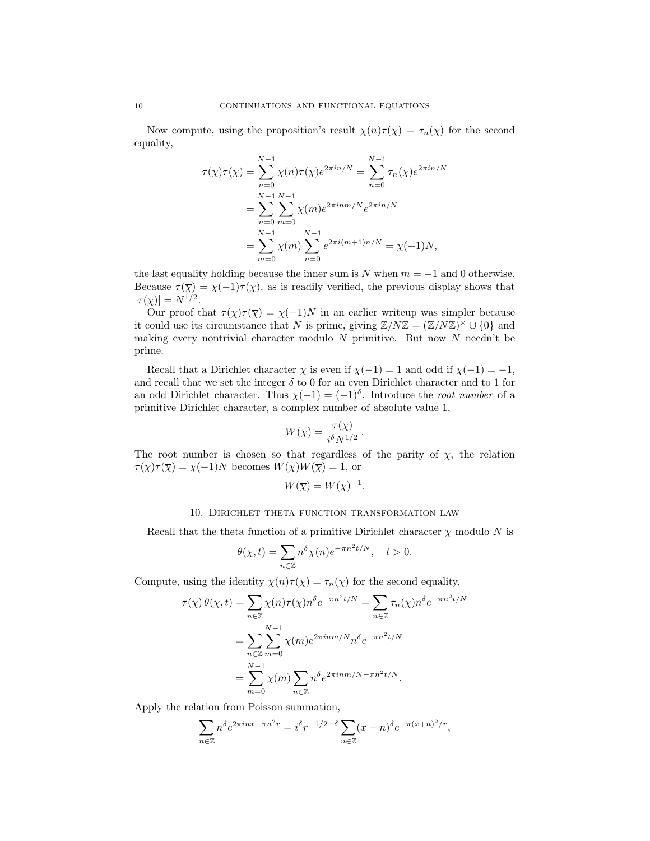Now compute, using the proposition's result  $\overline{\chi}(n)\tau(\chi) = \tau_n(\chi)$  for the second equality,

$$
\tau(\chi)\tau(\overline{\chi}) = \sum_{n=0}^{N-1} \overline{\chi}(n)\tau(\chi)e^{2\pi in/N} = \sum_{n=0}^{N-1} \tau_n(\chi)e^{2\pi in/N}
$$
  
= 
$$
\sum_{n=0}^{N-1} \sum_{m=0}^{N-1} \chi(m)e^{2\pi inm/N}e^{2\pi in/N}
$$
  
= 
$$
\sum_{m=0}^{N-1} \chi(m)\sum_{n=0}^{N-1} e^{2\pi i(m+1)n/N} = \chi(-1)N,
$$

the last equality holding because the inner sum is  $N$  when  $m = -1$  and 0 otherwise. Because  $\tau(\overline{\chi}) = \chi(-1)\tau(\chi)$ , as is readily verified, the previous display shows that  $|\tau(\chi)| = N^{1/2}.$ 

Our proof that  $\tau(\chi)\tau(\overline{\chi}) = \chi(-1)N$  in an earlier writeup was simpler because it could use its circumstance that N is prime, giving  $\mathbb{Z}/N\mathbb{Z} = (\mathbb{Z}/N\mathbb{Z})^{\times} \cup \{0\}$  and making every nontrivial character modulo  $N$  primitive. But now  $N$  needn't be prime.

Recall that a Dirichlet character  $\chi$  is even if  $\chi(-1) = 1$  and odd if  $\chi(-1) = -1$ , and recall that we set the integer  $\delta$  to 0 for an even Dirichlet character and to 1 for an odd Dirichlet character. Thus  $\chi(-1) = (-1)^{\delta}$ . Introduce the *root number* of a primitive Dirichlet character, a complex number of absolute value 1,

$$
W(\chi) = \frac{\tau(\chi)}{i^{\delta} N^{1/2}}.
$$

The root number is chosen so that regardless of the parity of  $\chi$ , the relation  $\tau(\chi)\tau(\overline{\chi})=\chi(-1)N$  becomes  $W(\chi)W(\overline{\chi})=1,$  or

$$
W(\overline{\chi}) = W(\chi)^{-1}.
$$

### 10. Dirichlet theta function transformation law

Recall that the theta function of a primitive Dirichlet character  $\chi$  modulo N is

$$
\theta(\chi, t) = \sum_{n \in \mathbb{Z}} n^{\delta} \chi(n) e^{-\pi n^2 t/N}, \quad t > 0.
$$

Compute, using the identity  $\overline{\chi}(n)\tau(\chi) = \tau_n(\chi)$  for the second equality,

$$
\tau(\chi) \theta(\overline{\chi}, t) = \sum_{n \in \mathbb{Z}} \overline{\chi}(n) \tau(\chi) n^{\delta} e^{-\pi n^2 t/N} = \sum_{n \in \mathbb{Z}} \tau_n(\chi) n^{\delta} e^{-\pi n^2 t/N}
$$

$$
= \sum_{n \in \mathbb{Z}} \sum_{m=0}^{N-1} \chi(m) e^{2\pi i n m/N} n^{\delta} e^{-\pi n^2 t/N}
$$

$$
= \sum_{m=0}^{N-1} \chi(m) \sum_{n \in \mathbb{Z}} n^{\delta} e^{2\pi i n m/N - \pi n^2 t/N}.
$$

Apply the relation from Poisson summation,

$$
\sum_{n\in\mathbb{Z}}n^{\delta}e^{2\pi inx-\pi n^2r}=i^{\delta}r^{-1/2-\delta}\sum_{n\in\mathbb{Z}}(x+n)^{\delta}e^{-\pi(x+n)^2/r},
$$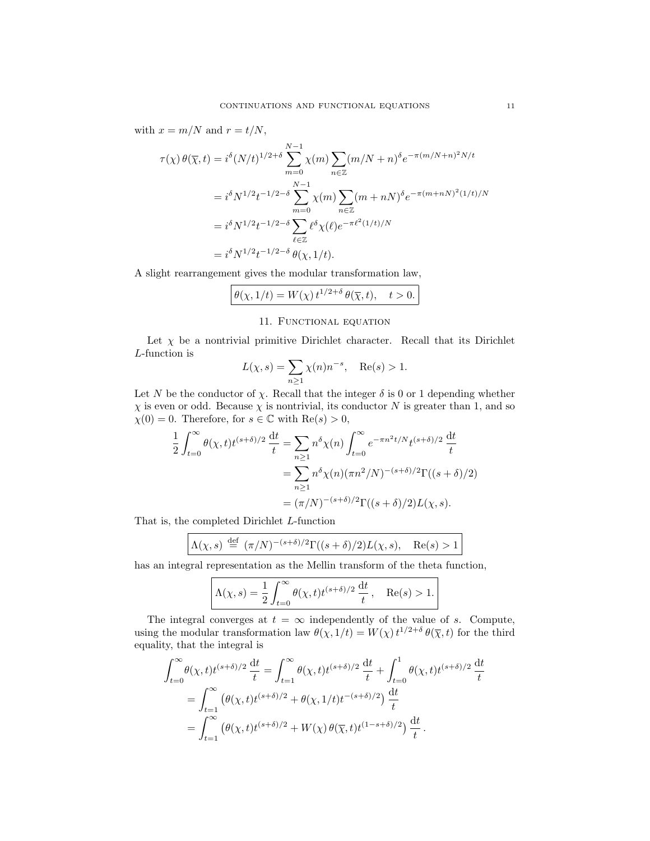with  $x = m/N$  and  $r = t/N$ ,

$$
\tau(\chi) \theta(\overline{\chi}, t) = i^{\delta} (N/t)^{1/2 + \delta} \sum_{m=0}^{N-1} \chi(m) \sum_{n \in \mathbb{Z}} (m/N + n)^{\delta} e^{-\pi (m/N + n)^2 N/t}
$$
  
=  $i^{\delta} N^{1/2} t^{-1/2 - \delta} \sum_{m=0}^{N-1} \chi(m) \sum_{n \in \mathbb{Z}} (m + n)^{\delta} e^{-\pi (m + n)^2 (1/t)/N}$   
=  $i^{\delta} N^{1/2} t^{-1/2 - \delta} \sum_{\ell \in \mathbb{Z}} \ell^{\delta} \chi(\ell) e^{-\pi \ell^2 (1/t)/N}$   
=  $i^{\delta} N^{1/2} t^{-1/2 - \delta} \theta(\chi, 1/t).$ 

A slight rearrangement gives the modular transformation law,

$$
\theta(\chi, 1/t) = W(\chi) t^{1/2 + \delta} \theta(\overline{\chi}, t), \quad t > 0.
$$

## 11. Functional equation

Let  $\chi$  be a nontrivial primitive Dirichlet character. Recall that its Dirichlet L-function is

$$
L(\chi, s) = \sum_{n \ge 1} \chi(n) n^{-s}, \quad \text{Re}(s) > 1.
$$

Let N be the conductor of  $\chi$ . Recall that the integer  $\delta$  is 0 or 1 depending whether  $\chi$  is even or odd. Because  $\chi$  is nontrivial, its conductor N is greater than 1, and so  $\chi(0) = 0$ . Therefore, for  $s \in \mathbb{C}$  with  $\text{Re}(s) > 0$ ,

$$
\frac{1}{2} \int_{t=0}^{\infty} \theta(\chi, t) t^{(s+\delta)/2} \frac{dt}{t} = \sum_{n \ge 1} n^{\delta} \chi(n) \int_{t=0}^{\infty} e^{-\pi n^2 t/N} t^{(s+\delta)/2} \frac{dt}{t}
$$

$$
= \sum_{n \ge 1} n^{\delta} \chi(n) (\pi n^2/N)^{-(s+\delta)/2} \Gamma((s+\delta)/2)
$$

$$
= (\pi/N)^{-(s+\delta)/2} \Gamma((s+\delta)/2) L(\chi, s).
$$

That is, the completed Dirichlet L-function

$$
\Lambda(\chi, s) \stackrel{\text{def}}{=} (\pi/N)^{-(s+\delta)/2} \Gamma((s+\delta)/2) L(\chi, s), \quad \text{Re}(s) > 1
$$

has an integral representation as the Mellin transform of the theta function,

$$
\Lambda(\chi, s) = \frac{1}{2} \int_{t=0}^{\infty} \theta(\chi, t) t^{(s+\delta)/2} \frac{\mathrm{d}t}{t}, \quad \text{Re}(s) > 1.
$$

The integral converges at  $t = \infty$  independently of the value of s. Compute, using the modular transformation law  $\theta(\chi, 1/t) = W(\chi) t^{1/2+\delta} \theta(\overline{\chi}, t)$  for the third equality, that the integral is

$$
\int_{t=0}^{\infty} \theta(\chi, t) t^{(s+\delta)/2} \frac{dt}{t} = \int_{t=1}^{\infty} \theta(\chi, t) t^{(s+\delta)/2} \frac{dt}{t} + \int_{t=0}^{1} \theta(\chi, t) t^{(s+\delta)/2} \frac{dt}{t}
$$
  
= 
$$
\int_{t=1}^{\infty} (\theta(\chi, t) t^{(s+\delta)/2} + \theta(\chi, 1/t) t^{-(s+\delta)/2}) \frac{dt}{t}
$$
  
= 
$$
\int_{t=1}^{\infty} (\theta(\chi, t) t^{(s+\delta)/2} + W(\chi) \theta(\overline{\chi}, t) t^{(1-s+\delta)/2}) \frac{dt}{t}.
$$